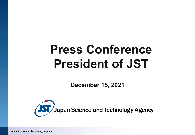# **Press Conference President of JST**

**December 15, 2021**



Japan Science and Technology Agency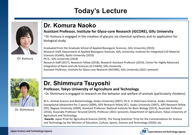# **Today's Lecture**



Dr. Komura

## **Dr. Komura Naoko**

#### **Assistant Professor, Institute for Glyco-core Research (iGCORE), Gifu University**

・Dr. Komura is engaged in the creation of glycans via chemical synthesis and its application for biological study.

Graduated from the Graduate School of Applied Bioorganic Sciences, Gifu University (2010) Research Staff, Department of Applied Bioorganic Sciences, Gifu University; Institute for Integrated Cell-Material Sciences (iCeMS), Kyoto University (2010) Ph.D., Gifu University (2018) Research Staff (2017), Research Fellow (2018), Research Assistant Professor (2019), Center for Highly Advanced Integration of Nano and Life Sciences (G-CHAIN), Gifu University Assistant Professor, Institute for Glyco-core Research (iGCORE), Gifu University (2021–present)



Dr. Shimmura

## **Dr. Shimmura Tsuyoshi**

#### **Professor, Tokyo University of Agriculture and Technology**

・Dr. Shimmura is engaged in research on the behavior and welfare of animals (particularly chickens).

M.S., Animal Science and Biotechnology, Azabu University (2007), Ph.D. in Veterinary Science, Azabu University (exceptional obtainment for 2 years) (2009), JSPS Research fellow DC1, Azabu University (2007), JSPS Research fellow (PD), Nagoya University (2009), Assistant Professor, National Institute for Basic Biology (2013), Associate Professor (2016), Associate Professor Tenured (2019), Professor (2021–present), Department of Agriculture, Tokyo University of Agriculture and Technology

**Awards**: Japan Prize for Agricultural Science (2019); The Young Scientists' Prize for the Commendation for Science and Technology by the Minister of Education, Culture, Sports, Science and Technology (2020); etc.